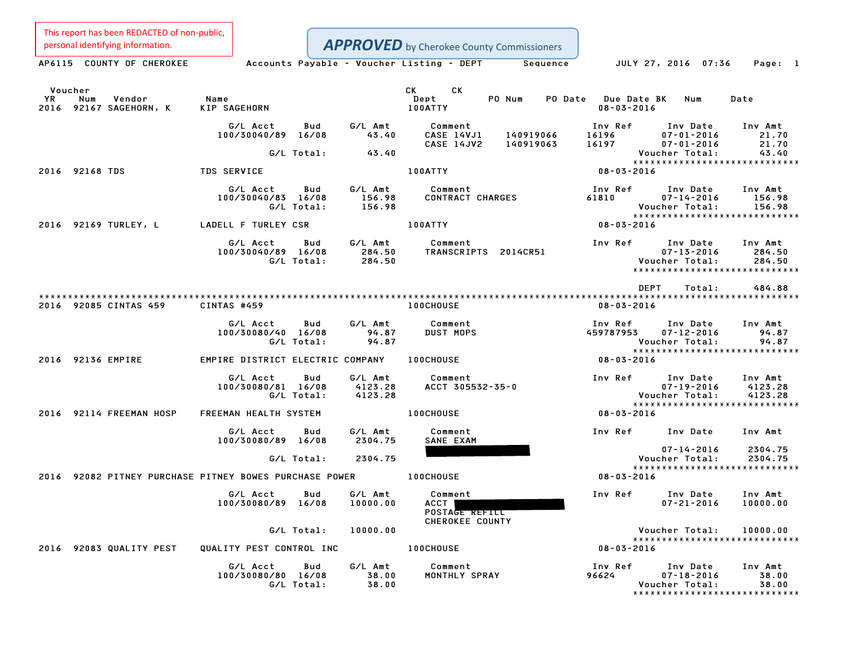This report has been REDACTED of non-public,

**APPROVED** by Cherokee County Commissioners

Personal identifying information.<br>
AP6115 COUNTY OF CHEROKEE Accounts Payable - Voucher Listing - DEPT Sequence JULY 27, 2016 07:36 Page: 1 Voucher CK CK YR Num Vendor Name Dept PO Num PO Date Due Date BK Num Date Voucher<br>1992 - YR Num Vendor – Name – Name – Dept – PO-Num PO-Date Due-Date<br>2016 92167 SAGEHORN, K KIP SAGEHORN – 100ATTY – 100ATTY – 100ATTY – 108-03-2016 G/L Acct Bud G/L Amt Comment Inv Ref Inv Date Inv Amt 100/30040/89 16/08 43.40 CASE 14VJ1 <sup>140919066</sup> <sup>16196</sup> 07-01-2016 21.70 CASE 14JV2 <sup>140919063</sup> <sup>16197</sup> 07-01-2016 21.70 G/L Total: 43.40 Voucher Total: 43.40 \*\*\*\*\*\*\*\*\*\*\*\*\*\*\*\*\*\*\*\*\*\*\*\*\*\*\*\*\* <sup>2016</sup> <sup>92168</sup> TDS TDS SERVICE 100ATTY 08-03-2016 G/L Acct Bud G/L Amt Comment Inv Ref Inv Date Inv Amt 100/30040/83 16/08 156.98 CONTRACT CHARGES <sup>61810</sup> 07-14-2016 156.98 G/L Total: 156.98 Voucher Total: 156.98 \*\*\*\*\*\*\*\*\*\*\*\*\*\*\*\*\*\*\*\*\*\*\*\*\*\*\*\*\* <sup>2016</sup> <sup>92169</sup> TURLEY, <sup>L</sup> LADELL <sup>F</sup> TURLEY CSR 100ATTY 08-03-2016 G/L Acct Bud G/L Amt Comment Inv Ref Inv Date Inv Amt 100/30040/89 16/08 284.50 TRANSCRIPTS 2014CR51 07-13-2016 284.50 G/L Total: 284.50 Voucher Total: 284.50 \*\*\*\*\*\*\*\*\*\*\*\*\*\*\*\*\*\*\*\*\*\*\*\*\*\*\*\*\* \*\*\*\*\*\*\*\*\*\*\*\*\*\*\*\*\*\*\*\*\*\*\*<br>DEPT Total: 484.88 \*\*\*\*\*\*\*\*\*\*\*\*\*\*\*\*\*\*\*\*\*\*\*\*\*\*\*\*\*\*\*\*\*\*\*\*\*\*\*\*\*\*\*\*\*\*\*\*\*\*\*\*\*\*\*\*\*\*\*\*\*\*\*\*\*\*\*\*\*\*\*\*\*\*\*\*\*\*\*\*\*\*\*\*\*\*\*\*\*\*\*\*\*\*\*\*\*\*\*\*\*\*\*\*\*\*\*\*\*\*\*\*\*\*\*\*\*\*\*\*\*\*\*\*\*\*\*\*\*\*\*\* <sup>2016</sup> <sup>92085</sup> CINTAS <sup>459</sup> CINTAS #459 100CHOUSE 08-03-2016 G/L Acct Bud G/L Amt Comment Inv Ref Inv Date Inv Amt 100/30080/40 16/08 94.87 DUST MOPS <sup>459787953</sup> 07-12-2016 94.87 G/L Total: 94.87 Voucher Total: 94.87 459787953 07-12-2016 94.87<br>Voucher Total: 94.87<br>\*\*\*\*\*\*\*\*\*\*\*\*\*\*\*\*\*\*\*\*\*\*\*\*\*\*\*\*\*\*\*\* <sup>2016</sup> <sup>92136</sup> EMPIRE EMPIRE DISTRICT ELECTRIC COMPANY 100CHOUSE 08-03-2016 G/L Acct Bud G/L Amt Comment Inv Ref Inv Date Inv Amt 100/30080/81 16/08 4123.28 ACCT 305532-35-0 07-19-2016 4123.28 G/L Total: 4123.28 Voucher Total: 4123.28 \*\*\*\*\*\*\*\*\*\*\*\*\*\*\*\*\*\*\*\*\*\*\*\*\*\*\*\*\* <sup>2016</sup> <sup>92114</sup> FREEMAN HOSP FREEMAN HEALTH SYSTEM 100CHOUSE 08-03-2016 G/L Acct Bud G/L Amt Comment Inv Ref Inv Date Inv Amt 100/30080/89 16/08 2304.75 SANE EXAM Inv Date Inv Amt<br>07-14-2016 2304.75 G/L Total: 2304.75 Voucher Total: 2304.75 Voucher Total: 2304.75<br>\*\*\*\*\*\*\*\*\*\*\*\*\*\*\*\*\*\*\*\*\*\*\*\*\*\*\*\* Vou Vou<br>\*\*\*\*\*<br>2016 92082 PITNEY PURCHASE PITNEY BOWES PURCHASE POWER 100CHOUSE 08-03-2016 G/L Acct Bud G/L Amt Comment Inv Ref Inv Date Inv Amt 100/30080/89 16/08 10000.00 ACCT 07-21-2016 10000.00 Comment<br>ACCT<br>POSTAGE REFILL ACCT<br>POSTA<del>GE REFILL</del><br>CHEROKEE COUNTY G/L Total: 10000.00 Voucher Total: 10000.00 Voucher Total: 10000.00<br>\*\*\*\*\*\*\*\*\*\*\*\*\*\*\*\*\*\*\*\*\*\*\*\*\*\*\*\* 2016 Vou<br>\*\*\*\*<br>2016 2016 2016 92083 QUALITY PEST QUALITY PEST CONTROL INC 100CHOUSE 100CHOUSE 08-03-2016 G/L Acct Bud G/L Amt Comment Inv Ref Inv Date Inv Amt 100/30080/80 16/08 38.00 MONTHLY SPRAY <sup>96624</sup> 07-18-2016 38.00 G/L Total: 38.00 Voucher Total: 38.00

07-18-2016 38.00<br>Voucher Total: 38.00<br>\*\*\*\*\*\*\*\*\*\*\*\*\*\*\*\*\*\*\*\*\*\*\*\*\*\*\*\*\*\*\*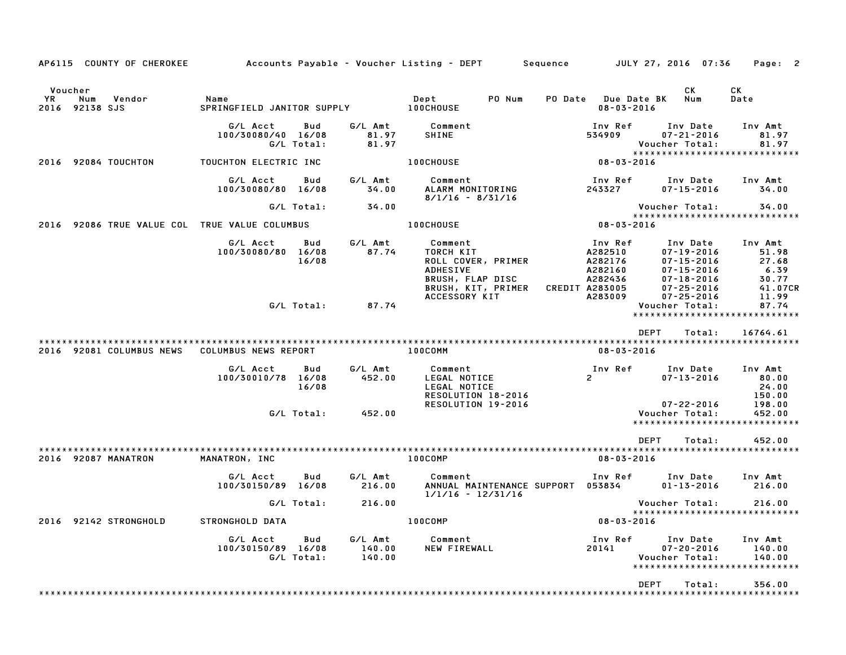| AP6115 COUNTY OF CHEROKEE                               | Accounts Payable – Voucher Listing – DEPT         Sequence |                   |                             |                                                                                                         |        |                                                                              | JULY 27, 2016 07:36                                                                                          | Page: 2                                                       |
|---------------------------------------------------------|------------------------------------------------------------|-------------------|-----------------------------|---------------------------------------------------------------------------------------------------------|--------|------------------------------------------------------------------------------|--------------------------------------------------------------------------------------------------------------|---------------------------------------------------------------|
| Voucher<br><b>YR</b><br>Num<br>Vendor<br>2016 92138 SJS | Name<br>SPRINGFIELD JANITOR SUPPLY 100CHOUSE               |                   |                             | Dept                                                                                                    | PO Num | PO Date Due Date BK<br>$08 - 03 - 2016$                                      | CK.<br>Num                                                                                                   | СK<br>Date                                                    |
|                                                         | G/L Acct<br>100/30080/40 16/08                             | Bud<br>G/L Total: | G/L Amt<br>81.97<br>81.97   | Comment<br><b>SHINE</b>                                                                                 |        | Inv Ref<br>534909                                                            | Inv Date<br>$07 - 21 - 2016$<br>Voucher Total:                                                               | Inv Amt<br>81.97<br>81.97<br>*****************************    |
| 2016 92084 TOUCHTON                                     | TOUCHTON ELECTRIC INC                                      |                   |                             | <b>100CHOUSE</b>                                                                                        |        | $08 - 03 - 2016$                                                             |                                                                                                              |                                                               |
|                                                         | G/L Acct<br>100/30080/80 16/08                             | Bud               | G/L Amt<br>34.00            | Comment<br>ALARM MONITORING<br>$8/1/16 - 8/31/16$                                                       |        | Inv Ref<br>243327                                                            | Inv Date<br>07-15-2016                                                                                       | Inv Amt<br>34.00                                              |
|                                                         |                                                            | G/L Total:        | 34.00                       |                                                                                                         |        |                                                                              | Voucher Total:                                                                                               | 34.00<br>*****************************                        |
| 2016 92086 TRUE VALUE COL TRUE VALUE COLUMBUS           |                                                            |                   |                             | <b>100CHOUSE</b>                                                                                        |        | 08-03-2016                                                                   |                                                                                                              |                                                               |
|                                                         | G/L Acct<br>100/30080/80 16/08                             | Bud<br>16/08      | G/L Amt<br>87.74            | Comment<br>TORCH KIT<br>ROLL COVER, PRIMER<br><b>ADHESIVE</b><br>BRUSH, FLAP DISC<br>BRUSH, KIT, PRIMER |        | Inv Ref<br>A282510<br>A282176<br>A282160<br>A282436<br><b>CREDIT A283005</b> | Inv Date<br>$07 - 19 - 2016$<br>$07 - 15 - 2016$<br>$07 - 15 - 2016$<br>$07 - 18 - 2016$<br>$07 - 25 - 2016$ | Inv Amt<br>51.98<br>27.68<br>6.39<br>30.77<br>41.07CR         |
|                                                         |                                                            | G/L Total:        | 87.74                       | ACCESSORY KIT                                                                                           |        | A283009                                                                      | $07 - 25 - 2016$<br>Voucher Total:                                                                           | 11.99<br>87.74<br>*****************************               |
|                                                         |                                                            |                   |                             |                                                                                                         |        |                                                                              | <b>DEPT</b><br>Total:                                                                                        | 16764.61                                                      |
| 2016 92081 COLUMBUS NEWS                                | COLUMBUS NEWS REPORT                                       |                   |                             | 100COMM                                                                                                 |        | 08-03-2016                                                                   |                                                                                                              |                                                               |
|                                                         | G/L Acct<br>100/30010/78 16/08                             | Bud<br>16/08      | G/L Amt<br>452.00           | Comment<br>LEGAL NOTICE<br>LEGAL NOTICE<br>RESOLUTION 18-2016<br>RESOLUTION 19-2016                     |        | Inv Ref<br>$\mathbf{2}$                                                      | Inv Date<br>$07 - 13 - 2016$<br>$07 - 22 - 2016$                                                             | Inv Amt<br>80.00<br>24.00<br>150.00<br>198.00                 |
|                                                         |                                                            | G/L Total:        | 452.00                      |                                                                                                         |        |                                                                              | Voucher Total:                                                                                               | 452.00<br>*****************************                       |
|                                                         |                                                            |                   |                             |                                                                                                         |        |                                                                              | <b>DEPT</b><br>Total:                                                                                        | 452.00                                                        |
| 2016 92087 MANATRON                                     | MANATRON, INC                                              |                   |                             | 100COMP                                                                                                 |        | $08 - 03 - 2016$                                                             |                                                                                                              |                                                               |
|                                                         | G/L Acct<br>100/30150/89 16/08                             | Bud               | G/L Amt<br>216.00           | Comment<br>ANNUAL MAINTENANCE SUPPORT 053834<br>$1/1/16 - 12/31/16$                                     |        | Inv Ref                                                                      | Inv Date<br>$01 - 13 - 2016$                                                                                 | Inv Amt<br>216.00                                             |
|                                                         |                                                            | G/L Total:        | 216.00                      |                                                                                                         |        |                                                                              | Voucher Total:                                                                                               | 216.00<br>******************************                      |
| 2016 92142 STRONGHOLD                                   | STRONGHOLD DATA                                            |                   |                             | 100COMP                                                                                                 |        | $08 - 03 - 2016$                                                             |                                                                                                              |                                                               |
|                                                         | G/L Acct<br>100/30150/89 16/08                             | Bud<br>G/L Total: | G/L Amt<br>140.00<br>140.00 | Comment<br>NEW FIREWALL                                                                                 |        | Inv Ref<br>20141                                                             | Inv Date<br>$07 - 20 - 2016$<br>Voucher Total:                                                               | Inv Amt<br>140.00<br>140.00<br>****************************** |
|                                                         |                                                            |                   |                             |                                                                                                         |        |                                                                              | <b>DEPT</b><br>Total:                                                                                        | 356.00                                                        |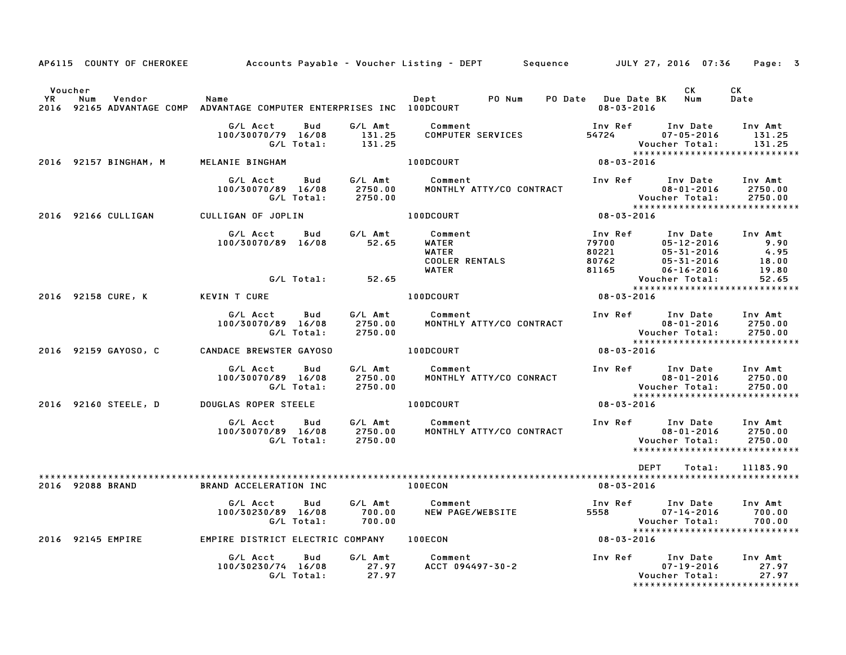|                             | AP6115 COUNTY OF CHEROKEE |                                                                                |                               | Accounts Payable – Voucher Listing – DEPT         Sequence         JULY 27, 2016  07:36 |                                             |                                                                                          | Page: 3                                                        |
|-----------------------------|---------------------------|--------------------------------------------------------------------------------|-------------------------------|-----------------------------------------------------------------------------------------|---------------------------------------------|------------------------------------------------------------------------------------------|----------------------------------------------------------------|
| Voucher<br><b>YR</b><br>Num | Vendor                    | Name<br>2016 92165 ADVANTAGE COMP ADVANTAGE COMPUTER ENTERPRISES INC 100DCOURT |                               | Dept<br>PO Num                                                                          | PO Date Due Date BK Num<br>$08 - 03 - 2016$ | CK.                                                                                      | СK<br>Date                                                     |
|                             |                           | G/L Acct<br>Bud<br>100/30070/79 16/08<br>G/L Total:                            | G/L Amt<br>131.25<br>131.25   | Comment<br>COMPUTER SERVICES                                                            | Inv Ref<br>54724                            | Inv Date<br>$07 - 05 - 2016$<br>Voucher Total:                                           | Inv Amt<br>131.25<br>131.25<br>*****************************   |
|                             | 2016 92157 BINGHAM, M     | MELANIE BINGHAM                                                                |                               | 100DCOURT                                                                               | 08-03-2016                                  |                                                                                          |                                                                |
|                             |                           | G/L Acct<br>Bud<br>100/30070/89 16/08<br>G/L Total:                            | G/L Amt<br>2750.00<br>2750.00 | Comment<br>MONTHLY ATTY/CO CONTRACT                                                     | Inv Ref                                     | Inv Date<br>$08 - 01 - 2016$<br>Voucher Total:                                           | Inv Amt<br>2750.00<br>2750.00<br>***************************** |
|                             | 2016 92166 CULLIGAN       | CULLIGAN OF JOPLIN                                                             |                               | 100DCOURT                                                                               | 08-03-2016                                  |                                                                                          |                                                                |
|                             |                           | G/L Acct<br>Bud<br>100/30070/89 16/08                                          | G/L Amt<br>52.65              | Comment<br>WATER<br>WATER<br><b>COOLER RENTALS</b><br>WATER                             | Inv Ref<br>79700<br>80221<br>80762<br>81165 | Inv Date<br>$05 - 12 - 2016$<br>$05 - 31 - 2016$<br>$05 - 31 - 2016$<br>$06 - 16 - 2016$ | Inv Amt<br>9.90<br>4.95<br>18.00<br>19.80                      |
|                             |                           | G/L Total:                                                                     | 52.65                         |                                                                                         |                                             | Voucher Total:                                                                           | 52.65                                                          |
| 2016 92158 CURE, K          |                           | <b>KEVIN T CURE</b>                                                            |                               | 100DCOURT                                                                               | 08-03-2016                                  |                                                                                          | *****************************                                  |
|                             |                           | G/L Acct<br>Bud<br>100/30070/89 16/08<br>G/L Total:                            | G/L Amt<br>2750.00<br>2750.00 | Comment<br>MONTHLY ATTY/CO CONTRACT                                                     | Inv Ref                                     | Inv Date<br>$08 - 01 - 2016$<br>Voucher Total:                                           | Inv Amt<br>2750.00<br>2750.00<br>***************************** |
|                             | 2016 92159 GAYOSO, C      | CANDACE BREWSTER GAYOSO                                                        |                               | <b>100DCOURT</b>                                                                        | 08-03-2016                                  |                                                                                          |                                                                |
|                             |                           | G/L Acct<br>Bud<br>100/30070/89 16/08<br>G/L Total:                            | G/L Amt<br>2750.00<br>2750.00 | Comment<br>MONTHLY ATTY/CO CONRACT                                                      | Inv Ref                                     | Inv Date<br>$08 - 01 - 2016$<br>Voucher Total:                                           | Inv Amt<br>2750.00<br>2750.00<br>***************************** |
|                             | 2016 92160 STEELE, D      | <b>DOUGLAS ROPER STEELE</b>                                                    |                               | <b>100DCOURT</b>                                                                        | $08 - 03 - 2016$                            |                                                                                          |                                                                |
|                             |                           | G/L Acct<br>Bud<br>100/30070/89 16/08<br>G/L Total:                            | G/L Amt<br>2750.00<br>2750.00 | Comment<br>MONTHLY ATTY/CO CONTRACT                                                     | Inv Ref                                     | Inv Date<br>$08 - 01 - 2016$<br>Voucher Total:                                           | Inv Amt<br>2750.00<br>2750.00<br>***************************** |
| 2016 92088 BRAND            |                           | BRAND ACCELERATION INC                                                         |                               | <b>100ECON</b>                                                                          | <b>DEPT</b><br>$08 - 03 - 2016$             | Total:                                                                                   | 11183.90                                                       |
|                             |                           | G/L Acct<br>Bud<br>100/30230/89 16/08<br>G/L Total:                            | G/L Amt<br>700.00<br>700.00   | Comment<br>NEW PAGE/WEBSITE                                                             | Inv Ref<br>5558                             | Inv Date<br>$07 - 14 - 2016$<br>Voucher Total:                                           | Inv Amt<br>700.00<br>700.00<br>*****************************   |
| 2016 92145 EMPIRE           |                           | EMPIRE DISTRICT ELECTRIC COMPANY 100ECON                                       |                               |                                                                                         | $08 - 03 - 2016$                            |                                                                                          |                                                                |
|                             |                           | G/L Acct<br>Bud<br>100/30230/74 16/08<br>G/L Total:                            | G/L Amt<br>27.97<br>27.97     | Comment<br>ACCT 094497-30-2                                                             | Inv Ref                                     | Inv Date<br>$07 - 19 - 2016$<br>Voucher Total:                                           | Inv Amt<br>27.97<br>27.97<br>*****************************     |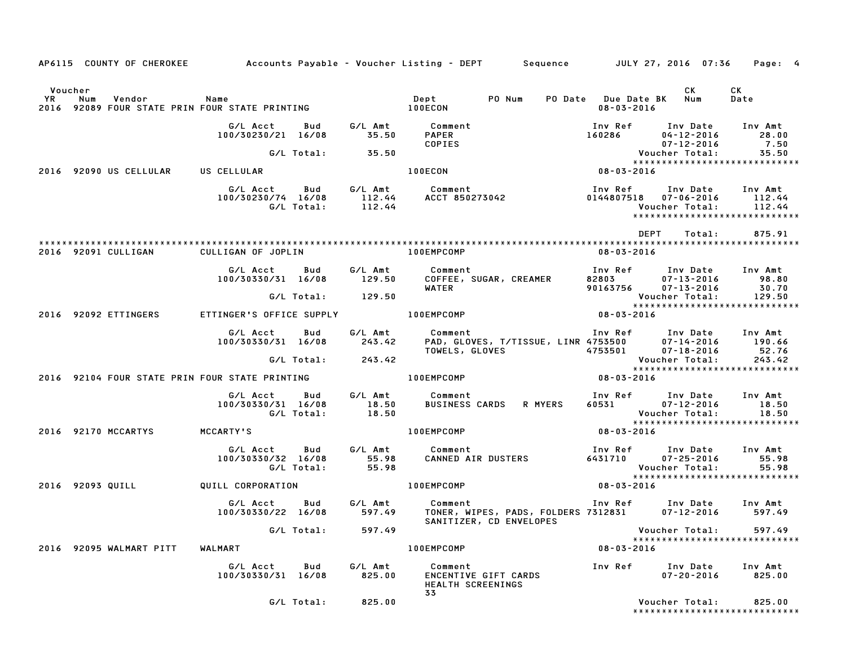|         |                  |                         |                                                                |                   |                     | AP6115 COUNTY OF CHEROKEE Accounts Payable - Voucher Listing - DEPT Sequence JULY 27, 2016 07:36                    |                                                                |                                             |                                                                                                                                                                                                                                      | Page: 4                   |
|---------|------------------|-------------------------|----------------------------------------------------------------|-------------------|---------------------|---------------------------------------------------------------------------------------------------------------------|----------------------------------------------------------------|---------------------------------------------|--------------------------------------------------------------------------------------------------------------------------------------------------------------------------------------------------------------------------------------|---------------------------|
| Voucher |                  |                         |                                                                |                   |                     | YR Num Vendor – Name – Name – Dept – PO Num<br>2016 92089 FOUR STATE PRIN FOUR STATE PRINTING – – 100ECON – 100ECON |                                                                | PO Date Due Date BK Num<br>$08 - 03 - 2016$ | CK                                                                                                                                                                                                                                   | CK<br>Date                |
|         |                  |                         | G/L Acct Bud<br>100/30230/21 16/08                             |                   | 35.50               | G/L Amt Comment<br><b>PAPER</b><br>COPIES                                                                           |                                                                | 160286                                      | Inv Ref Inv Date Inv Amt<br>04-12-2016<br>07-12-2016                                                                                                                                                                                 | 28.00<br>7.50             |
|         |                  |                         |                                                                |                   | G/L Total: 35.50    |                                                                                                                     |                                                                |                                             | Voucher Total: 35.50<br>***************************                                                                                                                                                                                  |                           |
|         |                  | 2016 92090 US CELLULAR  | US CELLULAR                                                    |                   |                     | 100ECON                                                                                                             |                                                                | $08 - 03 - 2016$                            |                                                                                                                                                                                                                                      |                           |
|         |                  |                         | G/L Acct<br>100/30230/74 16/08                                 | Bud<br>G/L Total: |                     | .<br>112.44        ACCT  850273042<br>112.44                                                                        |                                                                |                                             | Inv Ref      Inv Date     Inv Amt<br>0144807518  07-06-2016  112.44<br>Voucher Total:<br>*****************************                                                                                                               | 112.44                    |
|         |                  |                         |                                                                |                   |                     |                                                                                                                     |                                                                |                                             | DEPT<br>Total:                                                                                                                                                                                                                       | 875.91                    |
|         |                  | 2016 92091 CULLIGAN     | CULLIGAN OF JOPLIN                                             |                   |                     | 100EMPCOMP                                                                                                          |                                                                | 08-03-2016                                  |                                                                                                                                                                                                                                      |                           |
|         |                  |                         | G/L Acct<br>100/30330/31 16/08                                 | Bud               | 129.50              | G/L Amt Comment<br>WATER                                                                                            | Comment<br>COFFEE, SUGAR, CREAMER                              | 82803                                       | Inv Ref      Inv Date     Inv Amt<br>$07 - 13 - 2016$<br>90163756 07-13-2016                                                                                                                                                         | 98.80<br>30.70            |
|         |                  |                         |                                                                |                   | G/L Total: 129.50   |                                                                                                                     |                                                                |                                             | Voucher Total:                                                                                                                                                                                                                       | 129.50                    |
|         |                  | 2016 92092 ETTINGERS    | ETTINGER'S OFFICE SUPPLY <b>100EMPCOMP</b>                     |                   |                     |                                                                                                                     |                                                                | $08 - 03 - 2016$                            |                                                                                                                                                                                                                                      |                           |
|         |                  |                         | G/L Acct<br>100/30330/31 16/08                                 | Bud               |                     | G/L Amt          Comment<br>243.42       PAD, GLO\                                                                  |                                                                |                                             | Comment                           Inv Ref     Inv Date    Inv Amt<br>PAD, GLOVES, T/TISSUE, LINR 4753500      07–14–2016     190.66<br>TOWELS, GLOVES                                 4753501                07–18–2016           52 | 190.66<br>52.76           |
|         |                  |                         |                                                                |                   | $G/L$ Total: 243.42 |                                                                                                                     |                                                                |                                             | Voucher Total:                                                                                                                                                                                                                       | 243.42                    |
|         |                  |                         | 2016 92104 FOUR STATE PRIN FOUR STATE PRINTING THE RESIDENCOMP |                   |                     |                                                                                                                     |                                                                | $08 - 03 - 2016$                            |                                                                                                                                                                                                                                      |                           |
|         |                  |                         | G/L Acct   Bud<br>100/30330/31 16/08<br>G/L Total:             |                   | 18.50<br>18.50      | G/L Amt Comment<br><b>BUSINESS CARDS</b>                                                                            | <b>R MYERS</b>                                                 | 60531                                       | Inv Ref Inv Date<br>07-12-2016<br>Voucher Total:<br>*****************************                                                                                                                                                    | Inv Amt<br>18.50<br>18.50 |
|         |                  | 2016 92170 MCCARTYS     | <b>MCCARTY'S</b>                                               |                   |                     | 100EMPCOMP                                                                                                          |                                                                | 08-03-2016                                  |                                                                                                                                                                                                                                      |                           |
|         |                  |                         | G/L Acct<br>100/30330/32 16/08<br>G/L Total:                   | Bud               | 55.98<br>55.98      | G/L Amt Comment<br>Comment<br>CANNED AIR DUSTERS                                                                    |                                                                | 6431710                                     | Inv Ref Inv Date<br>$07 - 25 - 2016$<br>2016-12-10<br>:Voucher Total<br>*******                                                                                                                                                      | Inv Amt<br>55.98<br>55.98 |
|         | 2016 92093 QUILL |                         | QUILL CORPORATION                                              |                   |                     | <b>100EMPCOMP</b>                                                                                                   |                                                                | $08 - 03 - 2016$                            | *****************************                                                                                                                                                                                                        |                           |
|         |                  |                         | G/L Acct<br>100/30330/22 16/08                                 | <b>Bud</b>        | G/L Amt<br>597.49   | Comment                                                                                                             | TONER, WIPES, PADS, FOLDERS 7312831<br>SANITIZER, CD ENVELOPES |                                             | Inv Ref      Inv Date<br>$07 - 12 - 2016$                                                                                                                                                                                            | Inv Amt<br>597.49         |
|         |                  |                         |                                                                | G/L Total:        | 597.49              |                                                                                                                     |                                                                |                                             | Voucher Total:                                                                                                                                                                                                                       | 597.49                    |
|         |                  | 2016 92095 WALMART PITT | WALMART                                                        |                   |                     | 100EMPCOMP                                                                                                          |                                                                | $08 - 03 - 2016$                            | *****************************                                                                                                                                                                                                        |                           |
|         |                  |                         | G/L Acct<br>100/30330/31 16/08                                 | Bud               | G/L Amt<br>825.00   | Comment<br>ENCENTIVE GIFT CARDS<br>HEALTH SCREENINGS                                                                |                                                                | Inv Ref                                     | Inv Date<br>$07 - 20 - 2016$                                                                                                                                                                                                         | Inv Amt<br>825.00         |
|         |                  |                         |                                                                | G/L Total:        | 825.00              | 33                                                                                                                  |                                                                |                                             | Voucher Total:<br>******************************                                                                                                                                                                                     | 825.00                    |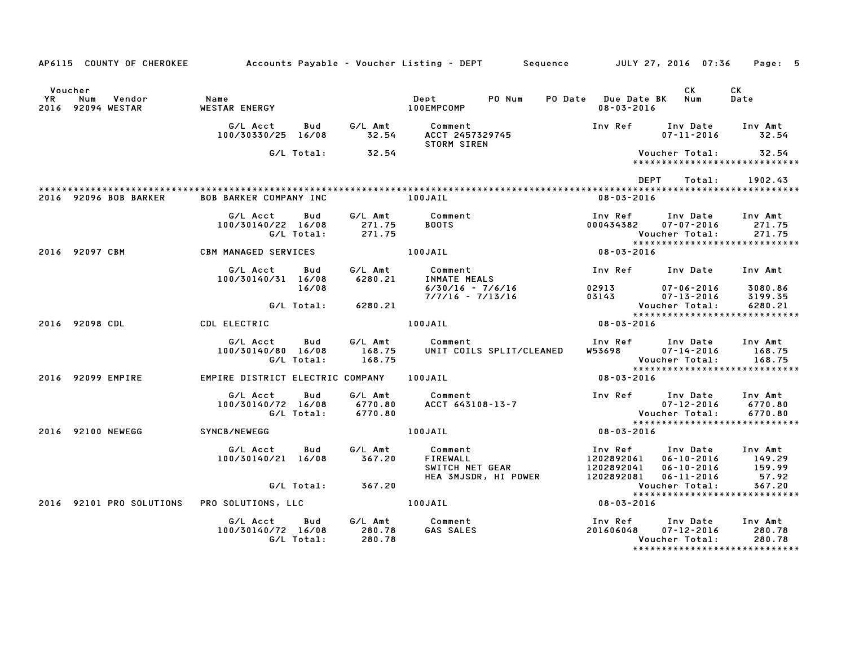|               | AP6115 COUNTY OF CHEROKEE          |                                  |                     |                               | Accounts Payable – Voucher Listing – DEPT         Sequence         JULY 27, 2016  07:36 |                                         |                                                                                   | Page: 5                       |
|---------------|------------------------------------|----------------------------------|---------------------|-------------------------------|-----------------------------------------------------------------------------------------|-----------------------------------------|-----------------------------------------------------------------------------------|-------------------------------|
| Voucher<br>YR | Num<br>Vendor<br>2016 92094 WESTAR | Name<br><b>WESTAR ENERGY</b>     |                     |                               | PO Num<br>Dept<br>100EMPCOMP                                                            | PO Date Due Date BK<br>$08 - 03 - 2016$ | CK.<br>Num                                                                        | CK<br>Date                    |
|               |                                    | G/L Acct<br>100/30330/25 16/08   | Bud                 | G/L Amt<br>32.54              | Comment<br>ACCT 2457329745<br><b>STORM SIREN</b>                                        | Inv Ref                                 | Inv Date<br>$07 - 11 - 2016$                                                      | Inv Amt<br>32.54              |
|               |                                    |                                  | G/L Total:          | 32.54                         |                                                                                         |                                         | Voucher Total:<br>*****************************                                   | 32.54                         |
|               |                                    |                                  |                     |                               |                                                                                         |                                         | DEPT<br>Total:                                                                    | 1902.43                       |
|               | 2016 92096 BOB BARKER              | <b>BOB BARKER COMPANY INC</b>    |                     |                               | 100JAIL                                                                                 | $08 - 03 - 2016$                        |                                                                                   |                               |
|               |                                    | G/L Acct<br>100/30140/22 16/08   | Bud<br>G/L Total:   | G/L Amt<br>271.75<br>271.75   | Comment<br><b>BOOTS</b>                                                                 | Inv Ref<br>000434382                    | Inv Date<br>07-07-2016<br>Voucher Total:                                          | Inv Amt<br>271.75<br>271.75   |
|               | 2016 92097 CBM                     | CBM MANAGED SERVICES             |                     |                               | 100JAIL                                                                                 | 08-03-2016                              | *****************************                                                     |                               |
|               |                                    | G/L Acct<br>100/30140/31 16/08   | Bud                 | G/L Amt<br>6280.21            | Comment<br><b>INMATE MEALS</b>                                                          |                                         | Inv Ref Inv Date                                                                  | Inv Amt                       |
|               |                                    |                                  | 16/08<br>G/L Total: | 6280.21                       | $6/30/16 - 7/6/16$<br>$7/7/16 - 7/13/16$                                                | 02913<br>03143                          | $07 - 06 - 2016$<br>$07 - 13 - 2016$<br>Voucher Total:<br>Youcher Total:          | 3080.86<br>3199.35<br>6280.21 |
|               | 2016 92098 CDL                     | CDL ELECTRIC                     |                     |                               | 100JAIL                                                                                 | $08 - 03 - 2016$                        | *****************************                                                     |                               |
|               |                                    | G/L Acct<br>100/30140/80 16/08   | Bud<br>G/L Total:   | G/L Amt<br>168.75<br>168.75   | Comment<br>UNIT COILS SPLIT/CLEANED                                                     | W53698                                  | Inv Ref Inv Date<br>$07 - 14 - 2016$<br>Voucher Total:                            | Inv Amt<br>168.75<br>168.75   |
|               | 2016 92099 EMPIRE                  | EMPIRE DISTRICT ELECTRIC COMPANY |                     |                               | 100JAIL                                                                                 | 08-03-2016                              | *****************************                                                     |                               |
|               |                                    | G/L Acct<br>100/30140/72 16/08   | Bud<br>G/L Total:   | G/L Amt<br>6770.80<br>6770.80 | Comment<br>ACCT 643108-13-7                                                             |                                         | Inv Ref Inv Date<br>$07 - 12 - 2016$<br>ur-12-2016<br>:Voucher Total              | Inv Amt<br>6770.80<br>6770.80 |
|               | 2016 92100 NEWEGG                  | SYNCB/NEWEGG                     |                     |                               | 100JAIL                                                                                 | $08 - 03 - 2016$                        | *****************************                                                     |                               |
|               |                                    | G/L Acct<br>100/30140/21 16/08   | Bud                 | G/L Amt<br>367.20             | Comment<br>FIREWALL<br>SWITCH NET GEAR                                                  | Inv Ref<br>1202892061<br>1202892041     | Inv Date<br>$06 - 10 - 2016$<br>$06 - 10 - 2016$                                  | Inv Amt<br>149.29<br>159.99   |
|               |                                    |                                  | G/L Total:          | 367.20                        | HEA 3MJSDR, HI POWER                                                                    |                                         | 1202892081  06-11-2016<br>Voucher Total:<br>*****************************         | 57.92<br>367.20               |
|               | 2016 92101 PRO SOLUTIONS           | PRO SOLUTIONS, LLC               |                     |                               | 100JAIL                                                                                 | 08-03-2016                              |                                                                                   |                               |
|               |                                    | G/L Acct<br>100/30140/72 16/08   | Bud<br>G/L Total:   | G/L Amt<br>280.78<br>280.78   | Comment<br>GAS SALES                                                                    | Inv Ref<br>201606048                    | Inv Date<br>$07 - 12 - 2016$<br>Voucher Total:<br>******************************* | Inv Amt<br>280.78<br>280.78   |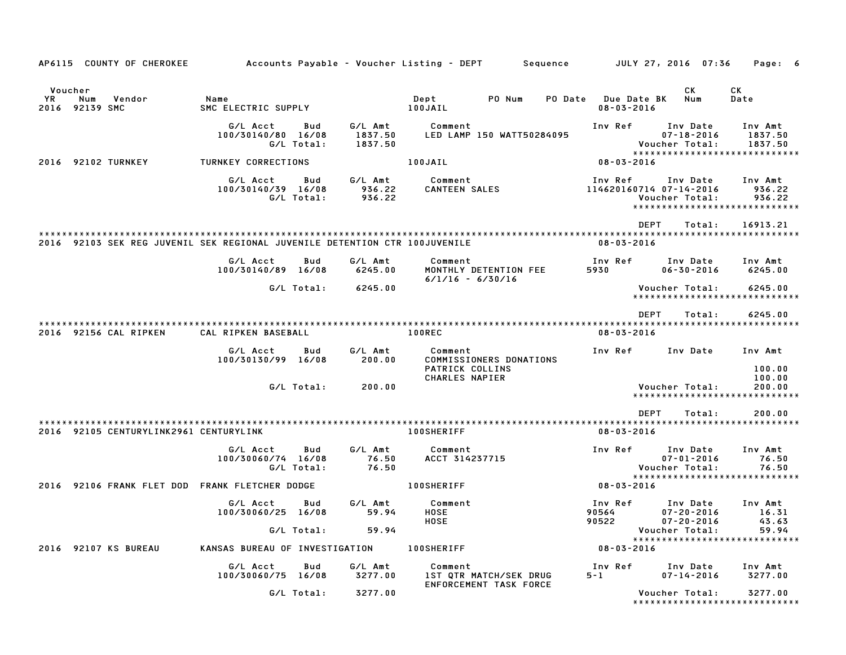| AP6115 COUNTY OF CHEROKEE                                                  |                                |                   |                               | Accounts Payable – Voucher Listing – DEPT                   |        | Sequence |                                        | JULY 27, 2016 07:36                                                                    |        | Page: 6                       |  |
|----------------------------------------------------------------------------|--------------------------------|-------------------|-------------------------------|-------------------------------------------------------------|--------|----------|----------------------------------------|----------------------------------------------------------------------------------------|--------|-------------------------------|--|
| Voucher<br>YR.<br>Num<br>Vendor<br>2016 92139 SMC                          | Name<br>SMC ELECTRIC SUPPLY    |                   |                               | Dept<br>100JAIL                                             | PO Num | PO Date  | <b>Due Date BK</b><br>$08 - 03 - 2016$ | СK<br>Num                                                                              |        | СK<br>Date                    |  |
|                                                                            | G/L Acct<br>100/30140/80 16/08 | Bud<br>G/L Total: | G/L Amt<br>1837.50<br>1837.50 | Comment<br>LED LAMP 150 WATT50284095                        |        |          | Inv Ref                                | Inv Date<br>$07 - 18 - 2016$<br>Voucher Total:<br>*****************************        |        | Inv Amt<br>1837.50<br>1837.50 |  |
| 92102 TURNKEY<br>2016                                                      | TURNKEY CORRECTIONS            |                   |                               | 100JAIL                                                     |        |          | $08 - 03 - 2016$                       |                                                                                        |        |                               |  |
|                                                                            | G/L Acct<br>100/30140/39 16/08 | Bud<br>G/L Total: | G/L Amt<br>936.22<br>936.22   | Comment<br><b>CANTEEN SALES</b>                             |        |          | Inv Ref                                | Inv Date<br>114620160714 07-14-2016<br>Voucher Total:<br>***************************** |        | Inv Amt<br>936.22<br>936.22   |  |
| 2016 92103 SEK REG JUVENIL SEK REGIONAL JUVENILE DETENTION CTR 100JUVENILE |                                |                   |                               |                                                             |        |          | $08 - 03 - 2016$                       | <b>DEPT</b>                                                                            | Total: | 16913.21                      |  |
|                                                                            | G/L Acct<br>100/30140/89 16/08 | Bud               | G/L Amt<br>6245.00            | Comment<br>MONTHLY DETENTION FEE<br>$6/1/16 - 6/30/16$      |        |          | Inv Ref<br>5930                        | Inv Date<br>$06 - 30 - 2016$                                                           |        | Inv Amt<br>6245.00            |  |
|                                                                            |                                | G/L Total:        | 6245.00                       |                                                             |        |          |                                        | Voucher Total:<br>*****************************                                        |        | 6245.00                       |  |
| 2016 92156 CAL RIPKEN                                                      | CAL RIPKEN BASEBALL            |                   |                               | 100REC                                                      |        |          | $08 - 03 - 2016$                       | <b>DEPT</b>                                                                            | Total: | 6245.00                       |  |
|                                                                            | G/L Acct<br>100/30130/99 16/08 | Bud               | G/L Amt<br>200.00             | Comment<br>COMMISSIONERS DONATIONS<br>PATRICK COLLINS       |        |          | Inv Ref                                | Inv Date                                                                               |        | Inv Amt<br>100.00             |  |
|                                                                            |                                | G/L Total:        | 200.00                        | CHARLES NAPIER                                              |        |          |                                        | Voucher Total:<br>*****************************                                        |        | 100.00<br>200.00              |  |
|                                                                            |                                |                   |                               |                                                             |        |          |                                        | <b>DEPT</b>                                                                            | Total: | 200.00                        |  |
| 2016 92105 CENTURYLINK2961 CENTURYLINK                                     |                                |                   |                               | 100SHERIFF                                                  |        |          | $08 - 03 - 2016$                       |                                                                                        |        |                               |  |
|                                                                            | G/L Acct<br>100/30060/74 16/08 | Bud<br>G/L Total: | G/L Amt<br>76.50<br>76.50     | Comment<br>ACCT 314237715                                   |        |          | Inv Ref                                | Inv Date<br>$07 - 01 - 2016$<br>Voucher Total:                                         |        | Inv Amt<br>76.50<br>76.50     |  |
| 2016 92106 FRANK FLET DOD FRANK FLETCHER DODGE                             |                                |                   |                               | <b>100SHERIFF</b>                                           |        |          | $08 - 03 - 2016$                       | *****************************                                                          |        |                               |  |
|                                                                            | G/L Acct<br>100/30060/25 16/08 | Bud               | G/L Amt<br>59.94              | Comment<br>HOSE<br>HOSE                                     |        |          | Inv Ref<br>90564<br>90522              | Inv Date<br>$07 - 20 - 2016$<br>$07 - 20 - 2016$                                       |        | Inv Amt<br>16.31<br>43.63     |  |
|                                                                            |                                | G/L Total:        | 59.94                         |                                                             |        |          |                                        | Voucher Total:<br>*****************************                                        |        | 59.94                         |  |
| 2016 92107 KS BUREAU                                                       | KANSAS BUREAU OF INVESTIGATION |                   |                               | <b>100SHERIFF</b>                                           |        |          | $08 - 03 - 2016$                       |                                                                                        |        |                               |  |
|                                                                            | G/L Acct<br>100/30060/75 16/08 | Bud               | G/L Amt<br>3277.00            | Comment<br>1ST QTR MATCH/SEK DRUG<br>ENFORCEMENT TASK FORCE |        |          | Inv Ref<br>$5 - 1$                     | Inv Date<br>$07 - 14 - 2016$                                                           |        | Inv Amt<br>3277.00            |  |
|                                                                            |                                | G/L Total:        | 3277.00                       |                                                             |        |          |                                        | Voucher Total:<br>*****************************                                        |        | 3277.00                       |  |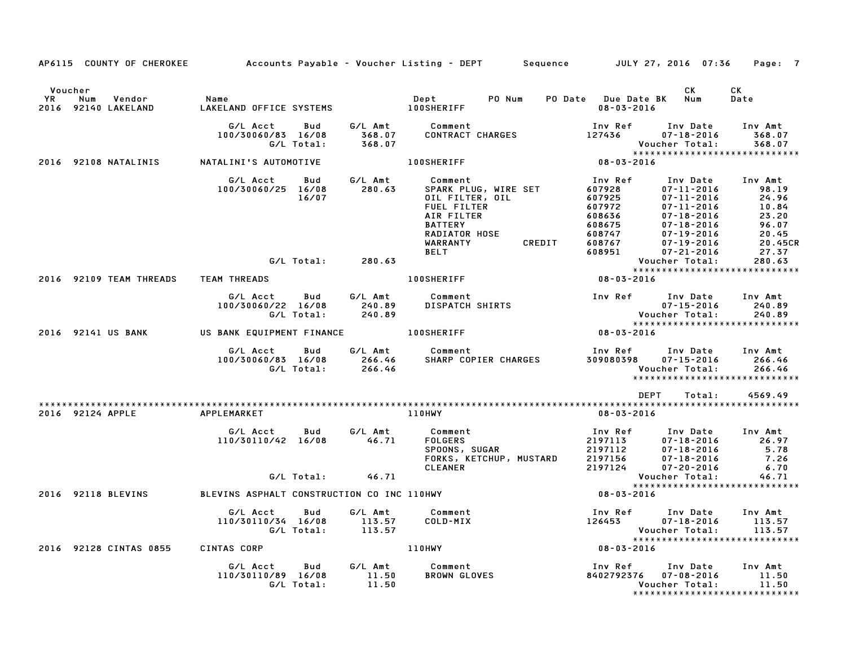|                                                |        | AP6115 COUNTY OF CHEROKEE Accounts Payable – Voucher Listing – DEPT Sequence JULY 27, 2016 07:36 |                          |                             |                                                                                                           |                                                     |        |                                                                                         |                                                                                                                                                                                                                                                                                                                              | Page: 7                                                                |
|------------------------------------------------|--------|--------------------------------------------------------------------------------------------------|--------------------------|-----------------------------|-----------------------------------------------------------------------------------------------------------|-----------------------------------------------------|--------|-----------------------------------------------------------------------------------------|------------------------------------------------------------------------------------------------------------------------------------------------------------------------------------------------------------------------------------------------------------------------------------------------------------------------------|------------------------------------------------------------------------|
| Voucher<br>YR<br>Num<br>2016<br>92140 LAKELAND | Vendor | Name<br>LAKELAND OFFICE SYSTEMS                                                                  |                          |                             | Dept<br><b>100SHERIFF</b>                                                                                 | PO Num                                              |        | PO Date Due Date BK Num<br>$08 - 03 - 2016$                                             | CK.                                                                                                                                                                                                                                                                                                                          | СK<br>Date                                                             |
|                                                |        | G/L Acct<br>100/30060/83 16/08                                                                   | Bud<br>G/L Total:        | G/L Amt<br>368.07<br>368.07 | Comment<br><b>CONTRACT CHARGES</b>                                                                        |                                                     |        | Inv Ref<br>127436                                                                       | Inv Date<br>07-18-2016<br>Voucher Total:                                                                                                                                                                                                                                                                                     | Inv Amt<br>368.07<br>368.07                                            |
| 2016 92108 NATALINIS                           |        | NATALINI'S AUTOMOTIVE                                                                            |                          |                             | <b>100SHERIFF</b>                                                                                         |                                                     |        | 08-03-2016                                                                              |                                                                                                                                                                                                                                                                                                                              |                                                                        |
|                                                |        | G/L Acct<br>100/30060/25 16/08                                                                   | Bud<br>16/07             | G/L Amt<br>280.63           | Comment<br>FUEL FILTER<br>AIR FILTER<br><b>BATTERY</b><br>RADIATOR HOSE<br><b>WARRANTY</b><br><b>BELT</b> | SPARK PLUG, WIRE SET<br>OIL FILTER, OIL             | CREDIT | Inv Ref<br>607928<br>607925<br>607972<br>608636<br>608675<br>608747<br>608767<br>608951 | Inv Date Inv Amt<br>07-11-2016<br>$\begin{array}{c} 07\text{-}11\text{-}2016 \\ 07\text{-}11\text{-}2016 \\ 07\text{-}11\text{-}2016 \\ 07\text{-}18\text{-}2016 \\ 07\text{-}18\text{-}2016 \\ 07\text{-}19\text{-}2016 \\ 07\text{-}19\text{-}2016 \\ 07\text{-}21\text{-}2016 \\ 07\text{-}21\text{-}2016 \\ \end{array}$ | 98.19<br>24.96<br>10.84<br>23.20<br>96.07<br>20.45<br>20.45CR<br>27.37 |
|                                                |        |                                                                                                  | G/L Total:               | 280.63                      |                                                                                                           |                                                     |        |                                                                                         | Voucher Total:<br>*****************************                                                                                                                                                                                                                                                                              | 280.63                                                                 |
| 2016 92109 TEAM THREADS                        |        | <b>TEAM THREADS</b>                                                                              |                          |                             | <b>100SHERIFF</b>                                                                                         |                                                     |        | 08-03-2016                                                                              |                                                                                                                                                                                                                                                                                                                              |                                                                        |
|                                                |        | G/L Acct<br>100/30060/22 16/08                                                                   | Bud<br>G/L Total:        | G/L Amt<br>240.89<br>240.89 | Comment<br>DISPATCH SHIRTS                                                                                |                                                     |        |                                                                                         | Inv Ref Inv Date<br>07-15-2016                                                                                                                                                                                                                                                                                               | Inv Amt<br>240.89<br>240.89                                            |
| 2016 92141 US BANK                             |        | US BANK EQUIPMENT FINANCE 100SHERIFF                                                             |                          |                             |                                                                                                           |                                                     |        | $08 - 03 - 2016$                                                                        | *****************************                                                                                                                                                                                                                                                                                                |                                                                        |
|                                                |        | G/L Acct<br>100/30060/83 16/08                                                                   | <b>Bud</b><br>G/L Total: | G/L Amt<br>266.46<br>266.46 | Comment                                                                                                   | SHARP COPIER CHARGES                                |        | Inv Ref<br>309080398                                                                    | Inv Date<br>$07 - 15 - 2016$<br>Voucher Total:<br>*****************************                                                                                                                                                                                                                                              | Inv Amt<br>266.46<br>266.46                                            |
|                                                |        |                                                                                                  |                          |                             |                                                                                                           |                                                     |        |                                                                                         | DEPT<br>Total:                                                                                                                                                                                                                                                                                                               | 4569.49                                                                |
| 2016 92124 APPLE                               |        | APPLEMARKET                                                                                      |                          |                             | 110HWY                                                                                                    |                                                     |        | 08-03-2016                                                                              |                                                                                                                                                                                                                                                                                                                              |                                                                        |
|                                                |        | G/L Acct<br>110/30110/42 16/08                                                                   | Bud                      | G/L Amt<br>46.71            | Comment<br>FOLGERS<br><b>CLEANER</b>                                                                      | FOLGERS<br>SPOONS, SUGAR<br>FORKS, KETCHUP, MUSTARD |        | Inv Ref<br>2197113<br>2197112<br>2197156<br>2197124                                     | Inv Date Inv Amt<br>$07 - 18 - 2016$<br>07-18-2016<br>$07 - 18 - 2016$<br>$07 - 20 - 2016$                                                                                                                                                                                                                                   | 26.97<br>5.78<br>7.26<br>6.70                                          |
|                                                |        |                                                                                                  | G/L Total:               | 46.71                       |                                                                                                           |                                                     |        |                                                                                         | Voucher Total:                                                                                                                                                                                                                                                                                                               | 46.71                                                                  |
| 2016 92118 BLEVINS                             |        | BLEVINS ASPHALT CONSTRUCTION CO INC 110HWY                                                       |                          |                             |                                                                                                           |                                                     |        | $08 - 03 - 2016$                                                                        |                                                                                                                                                                                                                                                                                                                              |                                                                        |
|                                                |        | G/L Acct<br>110/30110/34 16/08                                                                   | Bud<br>G/L Total:        | G/L Amt<br>113.57<br>113.57 | Comment<br>COLD-MIX                                                                                       |                                                     |        | 126453                                                                                  | Inv Ref Inv Date<br>$07 - 18 - 2016$<br>Voucher Total:<br>*****************************                                                                                                                                                                                                                                      | Inv Amt<br>113.57<br>113.57                                            |
| 2016 92128 CINTAS 0855                         |        | CINTAS CORP                                                                                      |                          |                             | 110HWY                                                                                                    |                                                     |        | 08-03-2016                                                                              |                                                                                                                                                                                                                                                                                                                              |                                                                        |
|                                                |        | G/L Acct<br>110/30110/89 16/08                                                                   | Bud<br>G/L Total:        | G/L Amt<br>11.50<br>11.50   | Comment<br><b>BROWN GLOVES</b>                                                                            |                                                     |        |                                                                                         | Inv Ref Inv Date<br>8402792376 07-08-2016<br>Voucher Total:<br>******************************                                                                                                                                                                                                                                | Inv Amt<br>11.50<br>11.50                                              |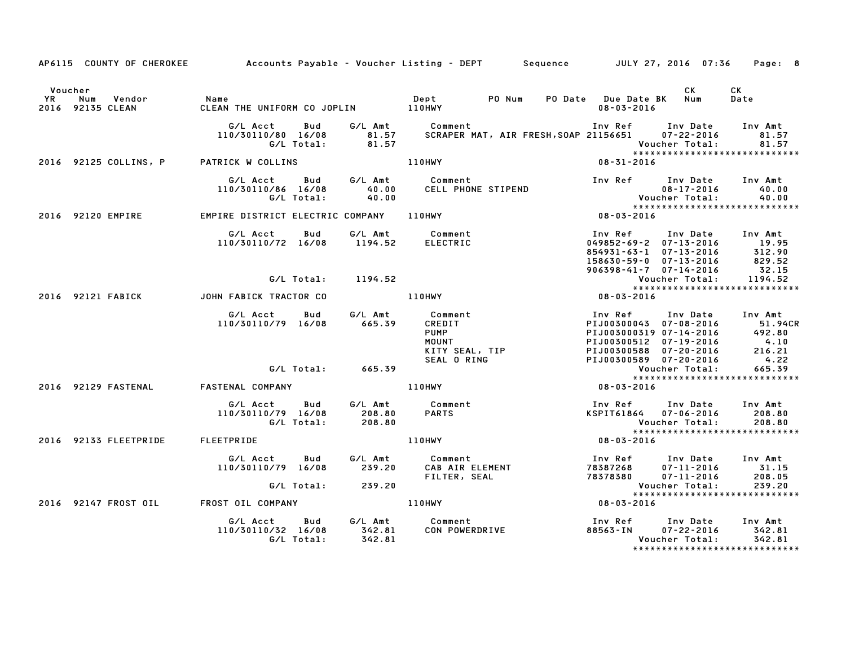|               |                                         | AP6115 COUNTY OF CHEROKEE Accounts Payable - Voucher Listing - DEPT Sequence JULY 27, 2016 07:36 |                   |                                                                                                                                           |                                                                                                                                                                  |                                    | Page: 8                                                                  |
|---------------|-----------------------------------------|--------------------------------------------------------------------------------------------------|-------------------|-------------------------------------------------------------------------------------------------------------------------------------------|------------------------------------------------------------------------------------------------------------------------------------------------------------------|------------------------------------|--------------------------------------------------------------------------|
| Voucher<br>YR | Vendor<br>Num<br>2016 92135 CLEAN       | Name                                                                                             |                   |                                                                                                                                           | PO Date Due Date BK Num<br>08-03-2016                                                                                                                            | CK                                 | CK<br>Date                                                               |
|               |                                         | G/L Acct<br>110/30110/80 16/08                                                                   |                   |                                                                                                                                           |                                                                                                                                                                  |                                    | Inv Amt<br>81.57<br>81.57<br>*****************************               |
|               | 2016 92125 COLLINS, P PATRICK W COLLINS |                                                                                                  |                   | 110HWY                                                                                                                                    | $08 - 31 - 2016$                                                                                                                                                 |                                    |                                                                          |
|               |                                         | G/L Acct<br>110/30110/86 16/08<br>G/L Total:                                                     | 40.00<br>40.00    | Bud G/L Amt Comment<br>CELL PHONE STIPEND                                                                                                 | Inv Ref Inv Date                                                                                                                                                 |                                    | Inv Amt                                                                  |
|               | 2016 92120 EMPIRE                       | EMPIRE DISTRICT ELECTRIC COMPANY 110HWY                                                          |                   |                                                                                                                                           | $08 - 03 - 2016$                                                                                                                                                 |                                    |                                                                          |
|               |                                         | G/L Acct<br>Bud<br>110/30110/72 16/08 1194.52                                                    |                   | G/L Amt Comment<br>ELECTRIC                                                                                                               | Inv Ref Inv Date Inv Amt<br>$049852 - 69 - 2$ $07 - 13 - 2016$<br>854931-63-1 07-13-2016 312.90<br>158630-59-0 07-13-2016 829.52<br>906398-41-7 07-14-2016 32.15 |                                    | 19.95                                                                    |
|               |                                         | G/L Total:                                                                                       | 1194.52           |                                                                                                                                           |                                                                                                                                                                  | Voucher Total:                     | 1194.52                                                                  |
|               | 2016 92121 FABICK                       | JOHN FABICK TRACTOR CO                                                                           | 110HWY            |                                                                                                                                           | Vouc<br>*****<br>08-03-2016                                                                                                                                      |                                    |                                                                          |
|               |                                         | G/L Acct<br>Bud<br>110/30110/79 16/08                                                            | 665.39            | Comment<br>CREDIT<br>PUMP<br>MOUNT<br>KITY SEAL, TIP<br>SEAL O RING<br>G/L Amt Comment                                                    | Inv Ref Inv Date Inv Amt<br>PIJ00300512 07-19-2016 4.10<br>PIJ00300588 07-20-2016 216.21<br>PIJ00300589 07-20-2016                                               |                                    | PIJ00300043 07-08-2016 51.94CR<br>PIJ003000319 07-14-2016 492.80<br>4.22 |
|               |                                         |                                                                                                  | G/L Total: 665.39 |                                                                                                                                           |                                                                                                                                                                  | Voucher Total:                     | 665.39                                                                   |
|               | 2016 92129 FASTENAL                     | FASTENAL COMPANY                                                                                 |                   | 110HWY                                                                                                                                    | 08-03-2016                                                                                                                                                       |                                    | *****************************                                            |
|               |                                         | G/L Acct<br><b>Bud</b><br>110/30110/79 16/08<br>G/L Total:                                       | 208.80<br>208.80  | G/L Amt Comment<br><b>PARTS</b>                                                                                                           | Inv Ref Inv Date<br>KSPIT61864 07-06-2016<br><b>Voucher Total:</b>                                                                                               |                                    | Inv Amt<br>208.80<br>208.80<br>*****************************             |
|               | 2016 92133 FLEETPRIDE                   | FLEETPRIDE                                                                                       |                   | 110HWY                                                                                                                                    | $08 - 03 - 2016$                                                                                                                                                 |                                    |                                                                          |
|               |                                         | G/L Acct<br>Bud<br>110/30110/79 16/08                                                            | G/L Amt<br>239.20 | Comment                          Inv Ref<br>CAB AIR ELEMENT                    78387268<br>FILTER, SEAL                          78378380 | Inv Ref Inv Date                                                                                                                                                 | 07-11-2016<br>$07 - 11 - 2016$     | Inv Amt<br>31.15<br>208.05<br>239.20                                     |
|               |                                         | G/L Total: 239.20                                                                                |                   |                                                                                                                                           |                                                                                                                                                                  | Voucher Total:                     | *****************************                                            |
|               | 2016 92147 FROST OIL                    | FROST OIL COMPANY                                                                                |                   | 110HWY                                                                                                                                    | $08 - 03 - 2016$                                                                                                                                                 |                                    |                                                                          |
|               |                                         | G/L Acct<br>Bud<br>110/30110/32 16/08<br>G/L Total:                                              | 342.81<br>342.81  |                                                                                                                                           | Inv Ref      Inv Date<br>88563-IN                                                                                                                                | $07 - 22 - 2016$<br>Voucher Total: | Inv Amt<br>342.81<br>342.81<br>*****************************             |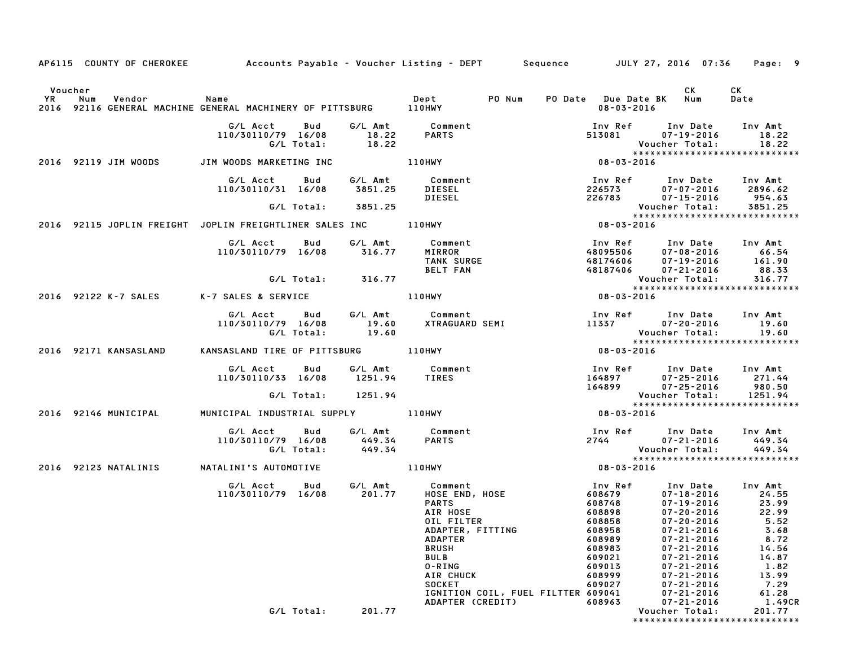| AP6115 COUNTY OF CHEROKEE Accounts Payable - Voucher Listing - DEPT Sequence JULY 27, 2016 07:36                                        |                                                                        |            |                                                  |                                                                                                                                                                                                                                                                             |  |                                                                    |                                                                                                                                                  | Page: 9                                                                                                                                                  |        |
|-----------------------------------------------------------------------------------------------------------------------------------------|------------------------------------------------------------------------|------------|--------------------------------------------------|-----------------------------------------------------------------------------------------------------------------------------------------------------------------------------------------------------------------------------------------------------------------------------|--|--------------------------------------------------------------------|--------------------------------------------------------------------------------------------------------------------------------------------------|----------------------------------------------------------------------------------------------------------------------------------------------------------|--------|
| CK CK<br>PO Num PO Date Due Date BK Num Date<br>2016 92116 GENERAL MACHINE GENERAL MACHINERY OF PITTSBURG 110HWY 108-03-2016 08-03-2016 |                                                                        |            |                                                  |                                                                                                                                                                                                                                                                             |  |                                                                    |                                                                                                                                                  |                                                                                                                                                          |        |
|                                                                                                                                         |                                                                        |            | G/L Total: 18.22                                 | G/L Acct  Bud  G/L Amt  Comment<br>110/30110/79 16/08  18.22  PARTS                                                                                                                                                                                                         |  |                                                                    |                                                                                                                                                  | Inv Ref       Inv Date     Inv Amt<br>513081          07–19–2016           18.22<br>Voucher Total: 18.22<br>******************************<br>08-03-2016 |        |
|                                                                                                                                         |                                                                        |            |                                                  |                                                                                                                                                                                                                                                                             |  |                                                                    |                                                                                                                                                  |                                                                                                                                                          |        |
|                                                                                                                                         | 110/30110/31 16/08 3851.25 DIESEL                                      |            |                                                  | G/L Acct Bud G/L Amt Comment<br>DIESEL                                                                                                                                                                                                                                      |  |                                                                    |                                                                                                                                                  | Inv Ref Inv Date Inv Amt<br>$226573$ $07-07-2016$ $2896.62$<br>226783 07-15-2016 954.63                                                                  |        |
| G/L Total: 3851.25<br>25.25.xxxxxxxxxxxxxxxxxxxxxxxx<br>2016 92115 JOPLIN FREIGHT JOPLIN FREIGHTLINER SALES INC 110HWY 108-03-2016      |                                                                        |            |                                                  |                                                                                                                                                                                                                                                                             |  |                                                                    |                                                                                                                                                  |                                                                                                                                                          |        |
|                                                                                                                                         |                                                                        |            |                                                  |                                                                                                                                                                                                                                                                             |  |                                                                    |                                                                                                                                                  |                                                                                                                                                          |        |
|                                                                                                                                         | 110/30110/79 16/08 316.77                                              |            |                                                  | G/L Acct Bud G/L Amt Comment<br>Comment<br>MIRROR 48095506 07-08-2016 66.54<br>TANK SURGE 48174606 07-19-2016 161.90<br>BELT FAN 48187406 07-19-2016 88.33<br>Voucher Total: 316.77<br>0HWY 08-03-2016<br>88.33<br>2016                                                     |  |                                                                    |                                                                                                                                                  |                                                                                                                                                          |        |
|                                                                                                                                         |                                                                        |            | G/L Total: 316.77                                |                                                                                                                                                                                                                                                                             |  |                                                                    |                                                                                                                                                  |                                                                                                                                                          |        |
| 2016 92122 K-7 SALES K-7 SALES & SERVICE 110HWY                                                                                         |                                                                        |            |                                                  |                                                                                                                                                                                                                                                                             |  |                                                                    |                                                                                                                                                  |                                                                                                                                                          |        |
|                                                                                                                                         |                                                                        |            |                                                  | G/L Acct Bud G/L Amt Comment Inv Ref Inv Date Inv Amt<br>110/30110/79 16/08 19.60 XTRAGUARD SEMI 11337 07–20–2016 19.60<br>G/L Total: 19.60 19.60 Voucher Total: 19.60<br>NSASLAND TIRE OF PITTSBURG 110HWY 108–03–2016 12016                                               |  |                                                                    |                                                                                                                                                  |                                                                                                                                                          |        |
| 2016 92171 KANSASLAND                                                                                                                   |                                                                        |            |                                                  |                                                                                                                                                                                                                                                                             |  |                                                                    |                                                                                                                                                  |                                                                                                                                                          |        |
|                                                                                                                                         | G/L Acct  Bud  G/L Amt  Comment<br>110/30110/33  16/08  1251.94  TIRES |            |                                                  |                                                                                                                                                                                                                                                                             |  |                                                                    |                                                                                                                                                  |                                                                                                                                                          |        |
|                                                                                                                                         |                                                                        |            | G/L Total: 1251.94                               |                                                                                                                                                                                                                                                                             |  |                                                                    |                                                                                                                                                  |                                                                                                                                                          |        |
| 2016 92146 MUNICIPAL MUNICIPAL INDUSTRIAL SUPPLY 110HWY                                                                                 |                                                                        |            |                                                  |                                                                                                                                                                                                                                                                             |  |                                                                    |                                                                                                                                                  |                                                                                                                                                          |        |
|                                                                                                                                         | 110/30110/79 16/08                                                     |            | 449.34 0110/79 16/08 449.34<br>G/L Total: 449.34 | G/L Acct Bud G/L Amt Comment<br><b>PARTS</b>                                                                                                                                                                                                                                |  |                                                                    |                                                                                                                                                  | 2744 07-21-2016 449.34<br>2744 07-21-2016 449.34                                                                                                         |        |
| 2016 92123 NATALINIS                                                                                                                    | NATALINI'S AUTOMOTIVE AND RESERVE TO A LIBRAY                          |            |                                                  |                                                                                                                                                                                                                                                                             |  |                                                                    |                                                                                                                                                  | Voucher Total: 449.34<br>******************************<br>08-03-2016                                                                                    |        |
|                                                                                                                                         |                                                                        |            |                                                  | G/L Acct  Bud  G/L Amt  Comment<br>110/30110/79 16/08  201.77  HOSE  END, HOSE<br><b>PARTS</b><br>AIR HOSE<br>OIL FILTER<br>ADAPTER, FITTING<br><b>ADAPTER</b><br><b>BRUSH</b><br><b>BULB</b><br>0-RING<br>AIR CHUCK<br><b>SOCKET</b><br>IGNITION COIL, FUEL FILTTER 609041 |  | 608958<br>608989<br>608983<br>609021<br>609013<br>608999<br>609027 | 07-21-2016<br>$07 - 21 - 2016$<br>$07 - 21 - 2016$<br>$07 - 21 - 2016$<br>$07 - 21 - 2016$<br>$07 - 21 - 2016$<br>07-21-2016<br>$07 - 21 - 2016$ | 3.68<br>8.72<br>14.56<br>14.87<br>1.82<br>13.99<br>7.29<br>61.28                                                                                         |        |
|                                                                                                                                         |                                                                        | G/L Total: | 201.77                                           | ADAPTER (CREDIT)                                                                                                                                                                                                                                                            |  | 608963                                                             | $07 - 21 - 2016$<br>Voucher Total:                                                                                                               | 201.77<br>*****************************                                                                                                                  | 1.49CR |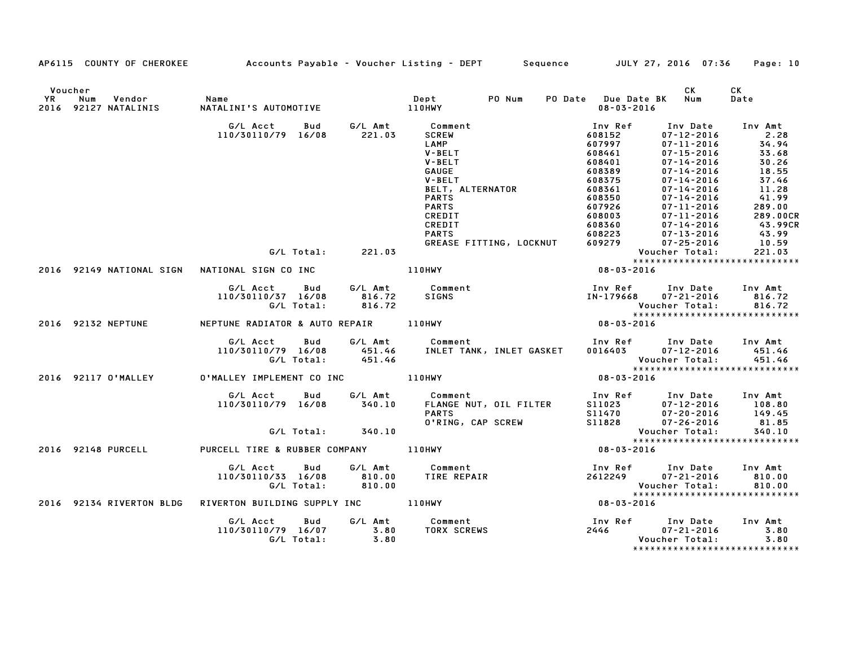|         |                          |                                                                                                     |        | AP6115 COUNTY OF CHEROKEE Accounts Payable - Voucher Listing - DEPT Sequence JULY 27, 2016 07:36                                                                                                                                        |                                                                                                                                                                                                                                                                                                  | Page: 10                                                                                                                                                                                                                                            |
|---------|--------------------------|-----------------------------------------------------------------------------------------------------|--------|-----------------------------------------------------------------------------------------------------------------------------------------------------------------------------------------------------------------------------------------|--------------------------------------------------------------------------------------------------------------------------------------------------------------------------------------------------------------------------------------------------------------------------------------------------|-----------------------------------------------------------------------------------------------------------------------------------------------------------------------------------------------------------------------------------------------------|
| Voucher |                          | YR Num Vendor – Name<br>2016 92127 NATALINIS – NATALINI'S AUTOMOTIVE                                |        |                                                                                                                                                                                                                                         | PO Date Due Date BK Num<br>08-03-2016                                                                                                                                                                                                                                                            | СK<br>CK<br>Date                                                                                                                                                                                                                                    |
|         |                          | G/L Acct Bud G/L Amt Comment<br>110/30110/79 16/08 221.03                                           |        | <b>SCREW</b><br><b>SCREW<br/>LAMP<br/>V-BELT<br/>V-BELT<br/>GAUGE<br/>V-BELT, ALTERNATOR<br/>PARTS<br/>PARTS</b><br>CREDIT                                                                                                              | Inv Ref<br>608152<br>607997<br>608461<br>608401<br>608389<br>608375<br>$\begin{array}{cccc} 608375 & 07-14-2016 \\ 608361 & 07-14-2016 \\ 608350 & 07-14-2016 \\ 607926 & 07-11-2016 \\ 608003 & 07-11-2016 \\ 608360 & 07-14-2016 \\ 608223 & 07-13-2016 \\ 609279 & 07-25-2016 \\ \end{array}$ | Inv Amt<br>Inv Date<br>$07 - 12 - 2016$<br>2.28<br>34.94<br>33.68<br>$07 - 11 - 2016$<br>$07 - 15 - 2016$<br>$07 - 14 - 2016$<br>30.26<br>$07 - 14 - 2016$<br>18.55<br>$07 - 14 - 2016$<br>37.46<br>11.28<br>41.99<br>289.00<br>289.00CR<br>43.99CR |
|         |                          | G/L Total: 221.03                                                                                   |        | CREDIT<br><b>PARTS</b><br>GREASE FITTING, LOCKNUT                                                                                                                                                                                       |                                                                                                                                                                                                                                                                                                  | $43.99$<br>$10.59$<br>Voucher Total:<br>221.03                                                                                                                                                                                                      |
|         | 2016 92149 NATIONAL SIGN |                                                                                                     |        | NATIONAL SIGN CO INC 110HWY 108-03-2016                                                                                                                                                                                                 |                                                                                                                                                                                                                                                                                                  | *****************************                                                                                                                                                                                                                       |
|         |                          | G/L Acct Bud G/L Amt Comment<br>110/30110/37 16/08 816.72 SIGNS<br>110/30110/37 16/08<br>G/L Total: | 816.72 |                                                                                                                                                                                                                                         |                                                                                                                                                                                                                                                                                                  | Inv Ref Inv Date Inv Amt<br>IN-179668 07-21-2016 816.72<br>Voucher Total: 816.72<br>*******************************                                                                                                                                 |
|         | 2016 92132 NEPTUNE       |                                                                                                     |        | NEPTUNE RADIATOR & AUTO REPAIR 110HWY                                                                                                                                                                                                   | $08 - 03 - 2016$                                                                                                                                                                                                                                                                                 |                                                                                                                                                                                                                                                     |
|         |                          |                                                                                                     |        | G/L Acct Bud G/L Amt Comment Inv Ref Inv Date Inv Amt<br>110/30110/79 16/08 451.46 INLET TANK, INLET GASKET 0016403 07–12–2016 451.46<br>6/L Total: 451.46 1NLET TANK, INLET GASKET 0016403 07–12–2016 451.46<br>********************** |                                                                                                                                                                                                                                                                                                  | *****************************                                                                                                                                                                                                                       |
|         |                          | 2016 92117 O'MALLEY     O'MALLEY IMPLEMENT CO INC             110HWY                                |        |                                                                                                                                                                                                                                         | $08 - 03 - 2016$                                                                                                                                                                                                                                                                                 |                                                                                                                                                                                                                                                     |
|         |                          | G/L Total: 340.10                                                                                   |        | 6/L Acct Bud G/L Amt Comment Inv Ref Inv Date Inv Amt<br>110/30110/79 16/08 340.10 FLANGE NUT, OIL FILTER S11023 07-12-2016 108.80<br>PARTS 07-20-2016 149.45<br>0'RING, CAP SCREW S11828 07-26-2016 81.85                              |                                                                                                                                                                                                                                                                                                  | 340.10                                                                                                                                                                                                                                              |
|         | 2016 92148 PURCELL       | PURCELL TIRE & RUBBER COMPANY 110HWY                                                                |        |                                                                                                                                                                                                                                         | <b>Voucher Total:</b><br>*****************<br>08-03-2016                                                                                                                                                                                                                                         | *****************************                                                                                                                                                                                                                       |
|         |                          | G/L Acct Bud<br>110/30110/33 16/08 810.00<br>G/L Total: 810.00                                      |        | 6/L Amt Comment 1nv Ref Inv Date Inv Amt<br>810.00 TIRE REPAIR 2612249 07-21-2016 810.00<br>810.00 110.00                                                                                                                               | Voucher Total:                                                                                                                                                                                                                                                                                   | 810.00<br>*****************************                                                                                                                                                                                                             |
|         | 2016 92134 RIVERTON BLDG |                                                                                                     |        | RIVERTON BUILDING SUPPLY INC 110HWY                                                                                                                                                                                                     | $08 - 03 - 2016$                                                                                                                                                                                                                                                                                 |                                                                                                                                                                                                                                                     |
|         |                          | G/L Acct  Bud  G/L Amt  Comment<br>110/30110/79  16/07  3.80  TORX  SCREW<br>G/L  Total:  3.80      |        | <b>TORX SCREWS</b>                                                                                                                                                                                                                      |                                                                                                                                                                                                                                                                                                  | Inv Ref      Inv Date    Inv Amt<br>2446              07–21–2016            3.80<br>3.80<br>Voucher Total:<br>3.80                                                                                                                                  |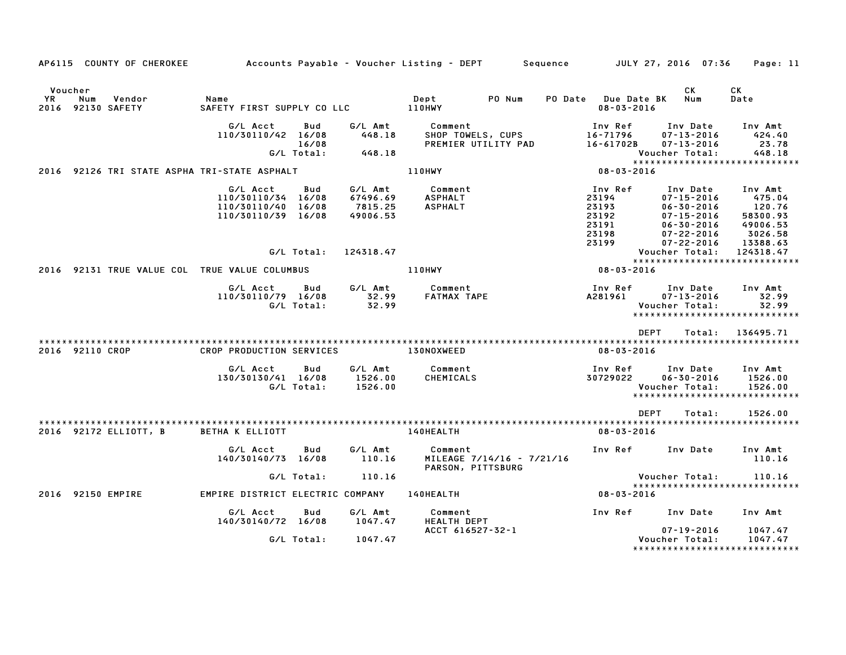|                |                 | AP6115 COUNTY OF CHEROKEE   | Accounts Payable – Voucher Listing – DEPT         Sequence                 |                            |                                            |                                             |                           |                                                               |                | JULY 27, 2016 07:36                                                                                                              | Page: 11                                                                   |
|----------------|-----------------|-----------------------------|----------------------------------------------------------------------------|----------------------------|--------------------------------------------|---------------------------------------------|---------------------------|---------------------------------------------------------------|----------------|----------------------------------------------------------------------------------------------------------------------------------|----------------------------------------------------------------------------|
| Voucher<br>YR. | Num             | Vendor<br>2016 92130 SAFETY | Name<br>SAFETY FIRST SUPPLY CO LLC                                         |                            |                                            | Dept<br>110HWY                              | PO Num                    | PO Date Due Date BK<br>$08 - 03 - 2016$                       |                | CK<br>Num                                                                                                                        | СK<br>Date                                                                 |
|                |                 |                             | G/L Acct<br>110/30110/42 16/08                                             | Bud<br>16/08<br>G/L Total: | G/L Amt<br>448.18<br>448.18                | Comment<br>SHOP TOWELS, CUPS                | PREMIER UTILITY PAD       | Inv Ref<br>16-71796<br>16-61702B                              | Voucher Total: | Inv Date<br>$07 - 13 - 2016$<br>$07 - 13 - 2016$                                                                                 | Inv Amt<br>424.40<br>23.78<br>448.18<br>*****************************      |
|                |                 |                             | 2016 92126 TRI STATE ASPHA TRI-STATE ASPHALT                               |                            |                                            | 110HWY                                      |                           | 08-03-2016                                                    |                |                                                                                                                                  |                                                                            |
|                |                 |                             | G/L Acct<br>110/30110/34 16/08<br>110/30110/40 16/08<br>110/30110/39 16/08 | Bud                        | G/L Amt<br>67496.69<br>7815.25<br>49006.53 | Comment<br><b>ASPHALT</b><br><b>ASPHALT</b> |                           | Inv Ref<br>23194<br>23193<br>23192<br>23191<br>23198<br>23199 |                | Inv Date<br>$07 - 15 - 2016$<br>$06 - 30 - 2016$<br>$07 - 15 - 2016$<br>$06 - 30 - 2016$<br>$07 - 22 - 2016$<br>$07 - 22 - 2016$ | Inv Amt<br>475.04<br>120.76<br>58300.93<br>49006.53<br>3026.58<br>13388.63 |
|                |                 |                             |                                                                            | G/L Total:                 | 124318.47                                  |                                             |                           |                                                               | Voucher Total: |                                                                                                                                  | 124318.47<br>*****************************                                 |
| 2016           |                 |                             | 92131 TRUE VALUE COL TRUE VALUE COLUMBUS                                   |                            |                                            | 110HWY                                      |                           | 08-03-2016                                                    |                |                                                                                                                                  |                                                                            |
|                |                 |                             | G/L Acct<br>110/30110/79 16/08                                             | Bud<br>G/L Total:          | G/L Amt<br>32.99<br>32.99                  | Comment<br><b>FATMAX TAPE</b>               |                           | Inv Ref<br>A281961                                            | Voucher Total: | Inv Date<br>$07 - 13 - 2016$                                                                                                     | Inv Amt<br>32.99<br>32.99<br>*****************************                 |
|                | 2016 92110 CROP |                             | CROP PRODUCTION SERVICES                                                   |                            |                                            | 130NOXWEED                                  |                           | $08 - 03 - 2016$                                              | <b>DEPT</b>    | Total:                                                                                                                           | 136495.71                                                                  |
|                |                 |                             | G/L Acct<br>130/30130/41 16/08                                             | Bud<br>G/L Total:          | G/L Amt<br>1526.00<br>1526.00              | Comment<br>CHEMICALS                        |                           | Inv Ref<br>30729022                                           | Voucher Total: | Inv Date<br>$06 - 30 - 2016$                                                                                                     | Inv Amt<br>1526.00<br>1526.00<br>*****************************             |
|                |                 |                             |                                                                            |                            |                                            |                                             |                           |                                                               | <b>DEPT</b>    | Total:                                                                                                                           | 1526.00                                                                    |
|                |                 | 2016 92172 ELLIOTT, B       | <b>BETHA K ELLIOTT</b>                                                     |                            |                                            | 140HEALTH                                   |                           | $08 - 03 - 2016$                                              |                |                                                                                                                                  |                                                                            |
|                |                 |                             | G/L Acct<br>140/30140/73 16/08                                             | Bud                        | G/L Amt<br>110.16                          | Comment<br>PARSON, PITTSBURG                | MILEAGE 7/14/16 - 7/21/16 | Inv Ref                                                       |                | Inv Date                                                                                                                         | Inv Amt<br>110.16                                                          |
|                |                 |                             |                                                                            | G/L Total:                 | 110.16                                     |                                             |                           |                                                               | Voucher Total: |                                                                                                                                  | 110.16                                                                     |
| 2016           | 92150 EMPIRE    |                             | EMPIRE DISTRICT ELECTRIC COMPANY                                           |                            |                                            | 140HEALTH                                   |                           | 08-03-2016                                                    |                |                                                                                                                                  | *****************************                                              |
|                |                 |                             | G/L Acct<br>140/30140/72 16/08                                             | Bud                        | G/L Amt<br>1047.47                         | Comment<br><b>HEALTH DEPT</b>               |                           | Inv Ref                                                       |                | Inv Date                                                                                                                         | Inv Amt                                                                    |
|                |                 |                             |                                                                            | G/L Total:                 | 1047.47                                    | ACCT 616527-32-1                            |                           |                                                               | Voucher Total: | $07 - 19 - 2016$                                                                                                                 | 1047.47<br>1047.47<br>*****************************                        |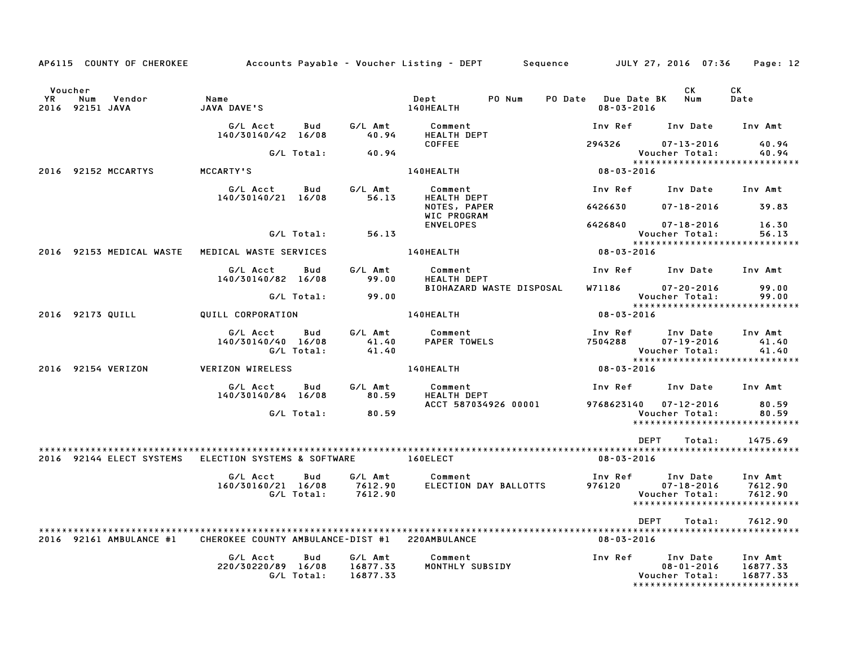|    |                                   | AP6115 COUNTY OF CHEROKEE | Accounts Payable – Voucher Listing – DEPT      |                   |                                 |                                  |        | Sequence |                                         | JULY 27, 2016 07:36                                                              |        | Page: 12                        |  |
|----|-----------------------------------|---------------------------|------------------------------------------------|-------------------|---------------------------------|----------------------------------|--------|----------|-----------------------------------------|----------------------------------------------------------------------------------|--------|---------------------------------|--|
| YR | Voucher<br>Num<br>2016 92151 JAVA | Vendor                    | Name<br>JAVA DAVE'S                            |                   |                                 | Dept<br>140HEALTH                | PO Num |          | PO Date Due Date BK<br>$08 - 03 - 2016$ | CK.<br>Num                                                                       |        | CK<br>Date                      |  |
|    |                                   |                           | G/L Acct<br>140/30140/42 16/08                 | Bud               | G/L Amt<br>40.94                | Comment<br>HEALTH DEPT           |        |          | Inv Ref                                 | Inv Date                                                                         |        | Inv Amt                         |  |
|    |                                   |                           |                                                | G/L Total:        | 40.94                           | <b>COFFEE</b>                    |        |          | 294326                                  | $07 - 13 - 2016$<br>Voucher Total:                                               |        | 40.94<br>40.94                  |  |
|    |                                   |                           |                                                |                   |                                 |                                  |        |          |                                         | ******************************                                                   |        |                                 |  |
|    | 2016 92152 MCCARTYS               |                           | MCCARTY'S                                      |                   |                                 | 140HEALTH                        |        |          | 08-03-2016                              |                                                                                  |        |                                 |  |
|    |                                   |                           | G/L Acct<br>140/30140/21 16/08                 | Bud               | G/L Amt<br>56.13                | Comment<br><b>HEALTH DEPT</b>    |        |          | Inv Ref                                 | Inv Date                                                                         |        | Inv Amt                         |  |
|    |                                   |                           |                                                |                   |                                 | NOTES, PAPER<br>WIC PROGRAM      |        |          | 6426630                                 | $07 - 18 - 2016$                                                                 |        | 39.83                           |  |
|    |                                   |                           |                                                | G/L Total:        | 56.13                           | <b>ENVELOPES</b>                 |        |          | 6426840                                 | $07 - 18 - 2016$<br>Voucher Total:                                               |        | 16.30<br>56.13                  |  |
|    |                                   |                           |                                                |                   |                                 |                                  |        |          |                                         | *****************************                                                    |        |                                 |  |
|    |                                   | 2016 92153 MEDICAL WASTE  | MEDICAL WASTE SERVICES                         |                   |                                 | 140HEALTH                        |        |          | 08-03-2016                              |                                                                                  |        |                                 |  |
|    |                                   |                           | G/L Acct<br>140/30140/82 16/08                 | Bud               | G/L Amt<br>99.00                | Comment<br><b>HEALTH DEPT</b>    |        |          | Inv Ref                                 | Inv Date                                                                         |        | Inv Amt                         |  |
|    |                                   |                           |                                                |                   |                                 | BIOHAZARD WASTE DISPOSAL         |        |          | W71186                                  | $07 - 20 - 2016$                                                                 |        | 99.00                           |  |
|    |                                   |                           |                                                | G/L Total:        | 99.00                           |                                  |        |          |                                         | Voucher Total:<br>******************************                                 |        | 99.00                           |  |
|    | 2016 92173 QUILL                  |                           | QUILL CORPORATION                              |                   |                                 | 140HEALTH                        |        |          | $08 - 03 - 2016$                        |                                                                                  |        |                                 |  |
|    |                                   |                           | G/L Acct<br>140/30140/40 16/08                 | Bud<br>G/L Total: | G/L Amt<br>41.40<br>41.40       | Comment<br><b>PAPER TOWELS</b>   |        |          | Inv Ref<br>7504288                      | Inv Date<br>$07 - 19 - 2016$<br>Voucher Total:                                   |        | Inv Amt<br>41.40<br>41.40       |  |
|    | 2016 92154 VERIZON                |                           | <b>VERIZON WIRELESS</b>                        |                   |                                 | 140HEALTH                        |        |          | 08-03-2016                              | *****************************                                                    |        |                                 |  |
|    |                                   |                           |                                                |                   |                                 |                                  |        |          |                                         |                                                                                  |        |                                 |  |
|    |                                   |                           | G/L Acct<br>140/30140/84 16/08                 | Bud               | G/L Amt<br>80.59                | Comment<br><b>HEALTH DEPT</b>    |        |          | Inv Ref                                 | Inv Date                                                                         |        | Inv Amt                         |  |
|    |                                   |                           |                                                | G/L Total:        | 80.59                           | ACCT 587034926 00001             |        |          | 9768623140                              | $07 - 12 - 2016$<br>Voucher Total:<br>******************************             |        | 80.59<br>80.59                  |  |
|    |                                   |                           |                                                |                   |                                 |                                  |        |          |                                         |                                                                                  |        |                                 |  |
|    |                                   |                           |                                                |                   |                                 |                                  |        |          |                                         | <b>DEPT</b>                                                                      | Total: | 1475.69                         |  |
|    |                                   | 2016 92144 ELECT SYSTEMS  | ELECTION SYSTEMS & SOFTWARE                    |                   |                                 | 160ELECT                         |        |          | $08 - 03 - 2016$                        |                                                                                  |        |                                 |  |
|    |                                   |                           | G/L Acct<br>160/30160/21 16/08                 | Bud<br>G/L Total: | G/L Amt<br>7612.90<br>7612.90   | Comment<br>ELECTION DAY BALLOTTS |        |          | Inv Ref<br>976120                       | Inv Date<br>$07 - 18 - 2016$<br>Voucher Total:<br>*****************************  |        | Inv Amt<br>7612.90<br>7612.90   |  |
|    |                                   |                           |                                                |                   |                                 |                                  |        |          |                                         | DEPT                                                                             | Total: | 7612.90                         |  |
|    |                                   | 2016 92161 AMBULANCE #1   | CHEROKEE COUNTY AMBULANCE-DIST #1 220AMBULANCE |                   |                                 |                                  |        |          | $08 - 03 - 2016$                        |                                                                                  |        |                                 |  |
|    |                                   |                           | G/L Acct<br>220/30220/89 16/08                 | Bud<br>G/L Total: | G/L Amt<br>16877.33<br>16877.33 | Comment<br>MONTHLY SUBSIDY       |        |          | Inv Ref                                 | Inv Date<br>$08 - 01 - 2016$<br>Voucher Total:<br>****************************** |        | Inv Amt<br>16877.33<br>16877.33 |  |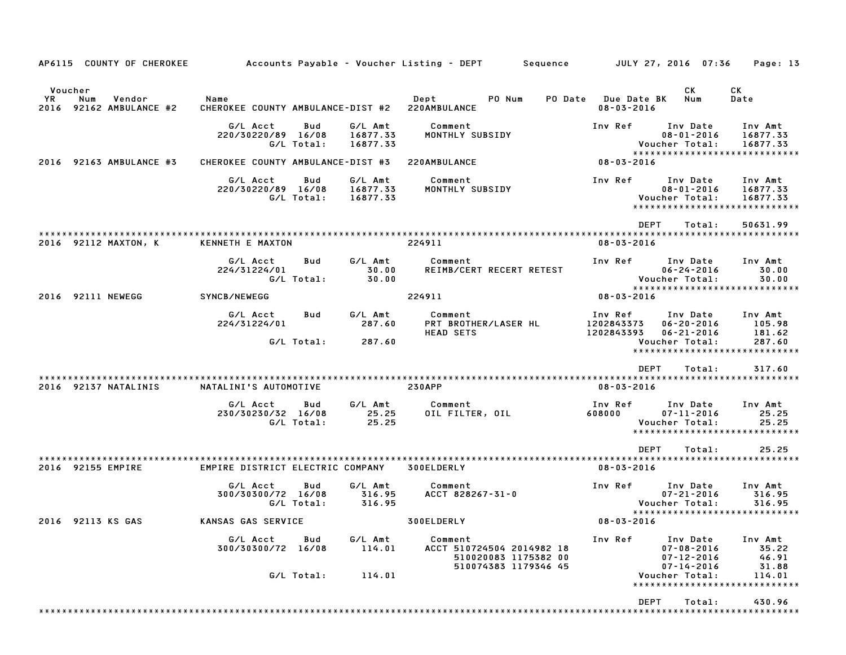| AP6115 COUNTY OF CHEROKEE                                  | Accounts Payable – Voucher Listing – DEPT           |                                 | Sequence                                                                             | JULY 27, 2016 07:36                                                                                  | Page: 13                           |
|------------------------------------------------------------|-----------------------------------------------------|---------------------------------|--------------------------------------------------------------------------------------|------------------------------------------------------------------------------------------------------|------------------------------------|
| Voucher<br>YR.<br>Num<br>Vendor<br>2016 92162 AMBULANCE #2 | Name<br>CHEROKEE COUNTY AMBULANCE-DIST #2           |                                 | Dept<br>PO Num<br>PO Date<br>220AMBULANCE                                            | СK<br><b>Due Date BK</b><br>Num<br>$08 - 03 - 2016$                                                  | CК<br>Date                         |
|                                                            | G/L Acct<br>Bud<br>220/30220/89 16/08<br>G/L Total: | G/L Amt<br>16877.33<br>16877.33 | Comment<br>MONTHLY SUBSIDY                                                           | Inv Ref<br>Inv Date<br>$08 - 01 - 2016$<br>Voucher Total:<br>*****************************           | Inv Amt<br>16877.33<br>16877.33    |
| 92163 AMBULANCE #3<br>2016                                 | CHEROKEE COUNTY AMBULANCE-DIST #3                   |                                 | 220AMBULANCE                                                                         | $08 - 03 - 2016$                                                                                     |                                    |
|                                                            | G/L Acct<br>Bud<br>220/30220/89 16/08<br>G/L Total: | G/L Amt<br>16877.33<br>16877.33 | Comment<br>MONTHLY SUBSIDY                                                           | Inv Ref<br>Inv Date<br>$08 - 01 - 2016$<br>Voucher Total:<br>*****************************           | Inv Amt<br>16877.33<br>16877.33    |
|                                                            |                                                     |                                 |                                                                                      | <b>DEPT</b><br>Total:                                                                                | 50631.99                           |
| 2016 92112 MAXTON, K                                       | KENNETH E MAXTON                                    |                                 | 224911                                                                               | $08 - 03 - 2016$                                                                                     |                                    |
|                                                            | G/L Acct<br>Bud<br>224/31224/01<br>G/L Total:       | G/L Amt<br>30.00<br>30.00       | Comment<br>REIMB/CERT RECERT RETEST                                                  | Inv Ref<br>Inv Date<br>$06 - 24 - 2016$<br>Voucher Total:<br>*****************************           | Inv Amt<br>30.00<br>30.00          |
| 2016 92111 NEWEGG                                          | SYNCB/NEWEGG                                        |                                 | 224911                                                                               | $08 - 03 - 2016$                                                                                     |                                    |
|                                                            | G/L Acct<br>Bud<br>224/31224/01                     | G/L Amt<br>287.60               | Comment<br>PRT BROTHER/LASER HL<br><b>HEAD SETS</b>                                  | Inv Ref<br>Inv Date<br>1202843373<br>$06 - 20 - 2016$<br>$06 - 21 - 2016$<br>1202843393              | Inv Amt<br>105.98<br>181.62        |
|                                                            | G/L Total:                                          | 287.60                          |                                                                                      | Voucher Total:<br>*****************************                                                      | 287.60                             |
|                                                            |                                                     |                                 |                                                                                      | <b>DEPT</b><br>Total:                                                                                | 317.60                             |
| 2016 92137 NATALINIS                                       | NATALINI'S AUTOMOTIVE                               |                                 | <b>230APP</b>                                                                        | $08 - 03 - 2016$                                                                                     |                                    |
|                                                            | G/L Acct<br>Bud<br>230/30230/32 16/08<br>G/L Total: | G/L Amt<br>25.25<br>25.25       | Comment<br>OIL FILTER, OIL                                                           | Inv Ref<br>Inv Date<br>608000<br>$07 - 11 - 2016$<br>Voucher Total:<br>***************************** | Inv Amt<br>25.25<br>25.25          |
|                                                            |                                                     |                                 |                                                                                      | <b>DEPT</b><br>Total:                                                                                | 25.25                              |
| 2016 92155 EMPIRE                                          | EMPIRE DISTRICT ELECTRIC COMPANY                    |                                 | <b>300ELDERLY</b>                                                                    | $08 - 03 - 2016$                                                                                     |                                    |
|                                                            | G/L Acct<br>Bud<br>300/30300/72 16/08<br>G/L Total: | G/L Amt<br>316.95<br>316.95     | Comment<br>ACCT 828267-31-0                                                          | Inv Date<br>Inv Ref<br>$07 - 21 - 2016$<br>Voucher Total:                                            | Inv Amt<br>316.95<br>316.95        |
| 2016 92113 KS GAS                                          | KANSAS GAS SERVICE                                  |                                 | 300ELDERLY                                                                           | *****************************<br>$08 - 03 - 2016$                                                    |                                    |
|                                                            | G/L Acct<br>Bud<br>300/30300/72 16/08               | G/L Amt<br>114.01               | Comment<br>ACCT 510724504 2014982 18<br>510020083 1175382 00<br>510074383 1179346 45 | Inv Ref<br>Inv Date<br>$07 - 08 - 2016$<br>$07 - 12 - 2016$<br>$07 - 14 - 2016$                      | Inv Amt<br>35.22<br>46.91<br>31.88 |
|                                                            | G/L Total:                                          | 114.01                          |                                                                                      | Voucher Total:<br>*****************************                                                      | 114.01                             |
|                                                            |                                                     |                                 |                                                                                      | DEPT<br>Total:                                                                                       | 430.96                             |
|                                                            |                                                     |                                 |                                                                                      |                                                                                                      |                                    |